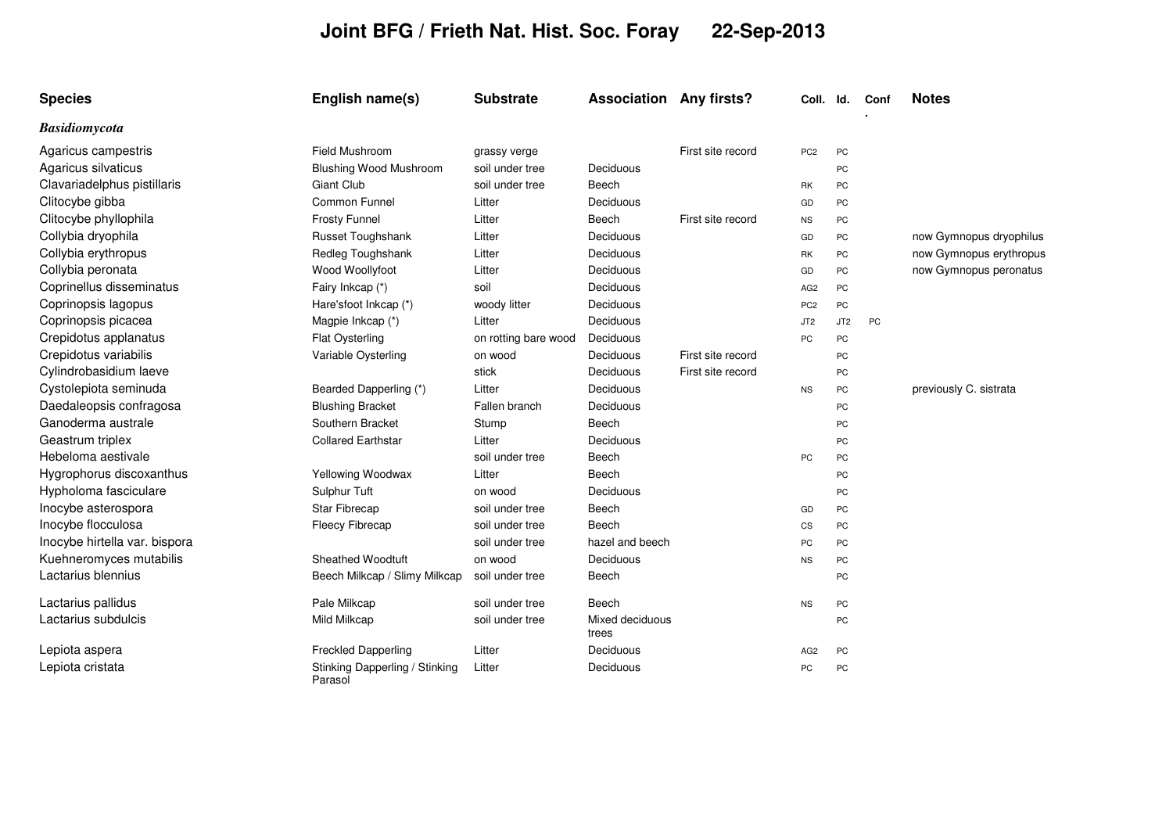## **Joint BFG / Frieth Nat. Hist. Soc. Foray 22-Sep-2013**

| <b>Species</b>                | English name(s)                           | <b>Substrate</b>     | <b>Association Any firsts?</b> |                   | Coll.           | ld.             | Conf | <b>Notes</b>            |
|-------------------------------|-------------------------------------------|----------------------|--------------------------------|-------------------|-----------------|-----------------|------|-------------------------|
| <b>Basidiomycota</b>          |                                           |                      |                                |                   |                 |                 |      |                         |
| Agaricus campestris           | <b>Field Mushroom</b>                     | grassy verge         |                                | First site record | PC <sub>2</sub> | PC              |      |                         |
| Agaricus silvaticus           | <b>Blushing Wood Mushroom</b>             | soil under tree      | Deciduous                      |                   |                 | PC              |      |                         |
| Clavariadelphus pistillaris   | <b>Giant Club</b>                         | soil under tree      | Beech                          |                   | RK              | PC              |      |                         |
| Clitocybe gibba               | Common Funnel                             | Litter               | Deciduous                      |                   | GD              | PC              |      |                         |
| Clitocybe phyllophila         | <b>Frosty Funnel</b>                      | Litter               | Beech                          | First site record | <b>NS</b>       | PC              |      |                         |
| Collybia dryophila            | Russet Toughshank                         | Litter               | Deciduous                      |                   | GD              | PC              |      | now Gymnopus dryophilus |
| Collybia erythropus           | Redleg Toughshank                         | Litter               | Deciduous                      |                   | RK              | PC              |      | now Gymnopus erythropus |
| Collybia peronata             | Wood Woollyfoot                           | Litter               | Deciduous                      |                   | GD              | <b>PC</b>       |      | now Gymnopus peronatus  |
| Coprinellus disseminatus      | Fairy Inkcap (*)                          | soil                 | Deciduous                      |                   | AG <sub>2</sub> | PC              |      |                         |
| Coprinopsis lagopus           | Hare'sfoot Inkcap (*)                     | woody litter         | Deciduous                      |                   | PC <sub>2</sub> | PC              |      |                         |
| Coprinopsis picacea           | Magpie Inkcap (*)                         | Litter               | Deciduous                      |                   | JT <sub>2</sub> | JT <sub>2</sub> | PC   |                         |
| Crepidotus applanatus         | Flat Oysterling                           | on rotting bare wood | Deciduous                      |                   | PC              | PC              |      |                         |
| Crepidotus variabilis         | Variable Oysterling                       | on wood              | Deciduous                      | First site record |                 | PC              |      |                         |
| Cylindrobasidium laeve        |                                           | stick                | Deciduous                      | First site record |                 | PC              |      |                         |
| Cystolepiota seminuda         | Bearded Dapperling (*)                    | Litter               | Deciduous                      |                   | <b>NS</b>       | PC              |      | previously C. sistrata  |
| Daedaleopsis confragosa       | <b>Blushing Bracket</b>                   | Fallen branch        | Deciduous                      |                   |                 | PC              |      |                         |
| Ganoderma australe            | Southern Bracket                          | Stump                | Beech                          |                   |                 | PC              |      |                         |
| Geastrum triplex              | <b>Collared Earthstar</b>                 | Litter               | Deciduous                      |                   |                 | PC              |      |                         |
| Hebeloma aestivale            |                                           | soil under tree      | Beech                          |                   | PC              | PC              |      |                         |
| Hygrophorus discoxanthus      | Yellowing Woodwax                         | Litter               | Beech                          |                   |                 | PC              |      |                         |
| Hypholoma fasciculare         | Sulphur Tuft                              | on wood              | Deciduous                      |                   |                 | PC              |      |                         |
| Inocybe asterospora           | <b>Star Fibrecap</b>                      | soil under tree      | Beech                          |                   | GD              | PC              |      |                         |
| Inocybe flocculosa            | <b>Fleecy Fibrecap</b>                    | soil under tree      | Beech                          |                   | CS              | PC              |      |                         |
| Inocybe hirtella var. bispora |                                           | soil under tree      | hazel and beech                |                   | PC              | PC              |      |                         |
| Kuehneromyces mutabilis       | <b>Sheathed Woodtuft</b>                  | on wood              | Deciduous                      |                   | <b>NS</b>       | <b>PC</b>       |      |                         |
| Lactarius blennius            | Beech Milkcap / Slimy Milkcap             | soil under tree      | Beech                          |                   |                 | PC              |      |                         |
| Lactarius pallidus            | Pale Milkcap                              | soil under tree      | Beech                          |                   | <b>NS</b>       | PC              |      |                         |
| Lactarius subdulcis           | Mild Milkcap                              | soil under tree      | Mixed deciduous<br>trees       |                   |                 | PC              |      |                         |
| Lepiota aspera                | <b>Freckled Dapperling</b>                | Litter               | Deciduous                      |                   | AG <sub>2</sub> | PC              |      |                         |
| Lepiota cristata              | Stinking Dapperling / Stinking<br>Parasol | Litter               | Deciduous                      |                   | PC              | PC              |      |                         |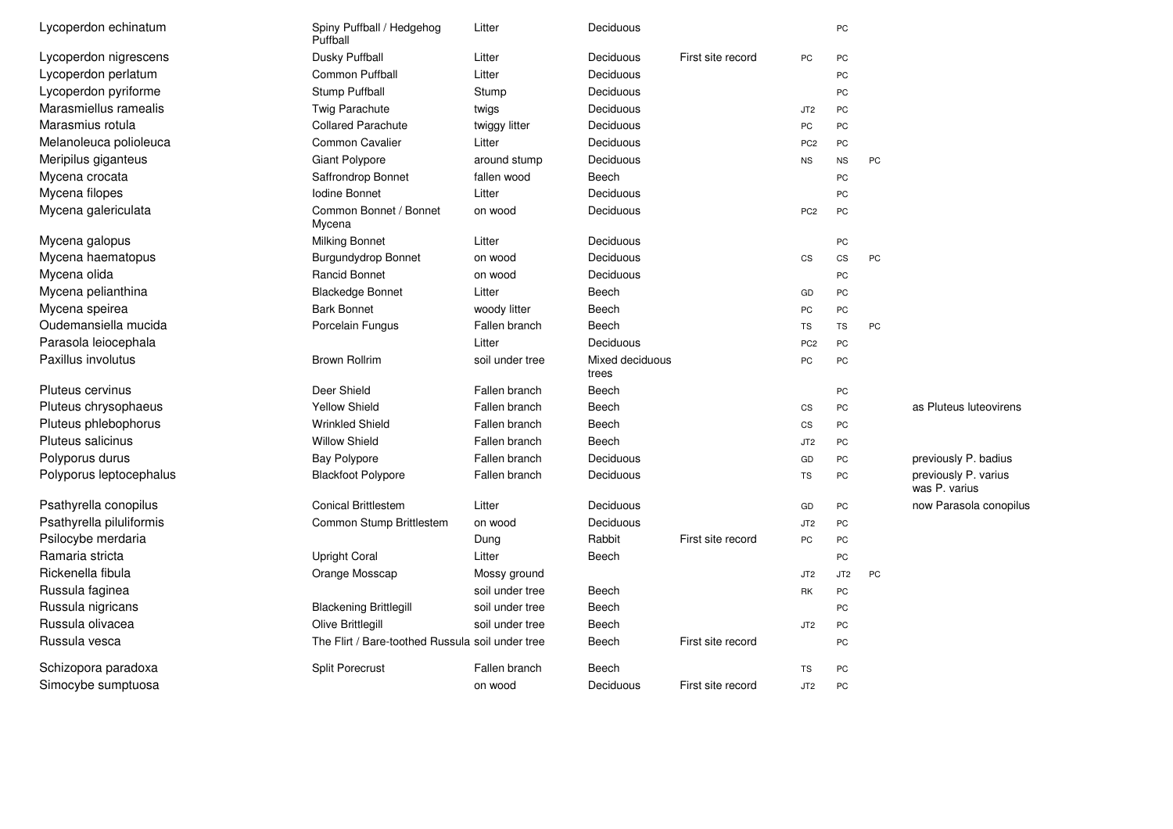| Lycoperdon echinatum     | Spiny Puffball / Hedgehog<br>Puffball            | Litter          | Deciduous                |                   |                 | PC              |    |                                       |
|--------------------------|--------------------------------------------------|-----------------|--------------------------|-------------------|-----------------|-----------------|----|---------------------------------------|
| Lycoperdon nigrescens    | Dusky Puffball                                   | Litter          | Deciduous                | First site record | PC              | PC              |    |                                       |
| Lycoperdon perlatum      | <b>Common Puffball</b>                           | Litter          | Deciduous                |                   |                 | PC              |    |                                       |
| Lycoperdon pyriforme     | Stump Puffball                                   | Stump           | Deciduous                |                   |                 | PC              |    |                                       |
| Marasmiellus ramealis    | <b>Twig Parachute</b>                            | twigs           | Deciduous                |                   | JT <sub>2</sub> | PC              |    |                                       |
| Marasmius rotula         | <b>Collared Parachute</b>                        | twiggy litter   | Deciduous                |                   | PC              | PC              |    |                                       |
| Melanoleuca polioleuca   | Common Cavalier                                  | Litter          | Deciduous                |                   | PC <sub>2</sub> | PC              |    |                                       |
| Meripilus giganteus      | Giant Polypore                                   | around stump    | Deciduous                |                   | <b>NS</b>       | <b>NS</b>       | PC |                                       |
| Mycena crocata           | Saffrondrop Bonnet                               | fallen wood     | Beech                    |                   |                 | PC              |    |                                       |
| Mycena filopes           | Iodine Bonnet                                    | Litter          | Deciduous                |                   |                 | PC              |    |                                       |
| Mycena galericulata      | Common Bonnet / Bonnet<br>Mycena                 | on wood         | Deciduous                |                   | PC <sub>2</sub> | PC              |    |                                       |
| Mycena galopus           | Milking Bonnet                                   | Litter          | Deciduous                |                   |                 | PC              |    |                                       |
| Mycena haematopus        | <b>Burgundydrop Bonnet</b>                       | on wood         | Deciduous                |                   | CS              | <b>CS</b>       | PC |                                       |
| Mycena olida             | <b>Rancid Bonnet</b>                             | on wood         | Deciduous                |                   |                 | PC              |    |                                       |
| Mycena pelianthina       | <b>Blackedge Bonnet</b>                          | Litter          | Beech                    |                   | GD              | PC              |    |                                       |
| Mycena speirea           | <b>Bark Bonnet</b>                               | woody litter    | Beech                    |                   | PC              | PC              |    |                                       |
| Oudemansiella mucida     | Porcelain Fungus                                 | Fallen branch   | Beech                    |                   | TS              | TS              | PC |                                       |
| Parasola leiocephala     |                                                  | Litter          | Deciduous                |                   | PC <sub>2</sub> | PC              |    |                                       |
| Paxillus involutus       | <b>Brown Rollrim</b>                             | soil under tree | Mixed deciduous<br>trees |                   | PC              | PC              |    |                                       |
| Pluteus cervinus         | Deer Shield                                      | Fallen branch   | Beech                    |                   |                 | PC              |    |                                       |
| Pluteus chrysophaeus     | <b>Yellow Shield</b>                             | Fallen branch   | Beech                    |                   | CS              | PC              |    | as Pluteus luteovirens                |
| Pluteus phlebophorus     | <b>Wrinkled Shield</b>                           | Fallen branch   | Beech                    |                   | CS              | PC              |    |                                       |
| Pluteus salicinus        | <b>Willow Shield</b>                             | Fallen branch   | Beech                    |                   | JT <sub>2</sub> | PC              |    |                                       |
| Polyporus durus          | <b>Bay Polypore</b>                              | Fallen branch   | Deciduous                |                   | GD              | PC              |    | previously P. badius                  |
| Polyporus leptocephalus  | <b>Blackfoot Polypore</b>                        | Fallen branch   | Deciduous                |                   | TS              | PC              |    | previously P. varius<br>was P. varius |
| Psathyrella conopilus    | <b>Conical Brittlestem</b>                       | Litter          | Deciduous                |                   | GD              | PC              |    | now Parasola conopilus                |
| Psathyrella piluliformis | Common Stump Brittlestem                         | on wood         | Deciduous                |                   | JT <sub>2</sub> | PC              |    |                                       |
| Psilocybe merdaria       |                                                  | Dung            | Rabbit                   | First site record | PC              | PC              |    |                                       |
| Ramaria stricta          | <b>Upright Coral</b>                             | Litter          | Beech                    |                   |                 | PC              |    |                                       |
| Rickenella fibula        | Orange Mosscap                                   | Mossy ground    |                          |                   | JT <sub>2</sub> | JT <sub>2</sub> | PC |                                       |
| Russula faginea          |                                                  | soil under tree | Beech                    |                   | RK              | PC              |    |                                       |
| Russula nigricans        | <b>Blackening Brittlegill</b>                    | soil under tree | Beech                    |                   |                 | PC              |    |                                       |
| Russula olivacea         | Olive Brittlegill                                | soil under tree | Beech                    |                   | JT <sub>2</sub> | PC              |    |                                       |
| Russula vesca            | The Flirt / Bare-toothed Russula soil under tree |                 | Beech                    | First site record |                 | PC              |    |                                       |
| Schizopora paradoxa      | <b>Split Porecrust</b>                           | Fallen branch   | Beech                    |                   | TS              | PC              |    |                                       |
| Simocybe sumptuosa       |                                                  | on wood         | Deciduous                | First site record | JT <sub>2</sub> | PC              |    |                                       |